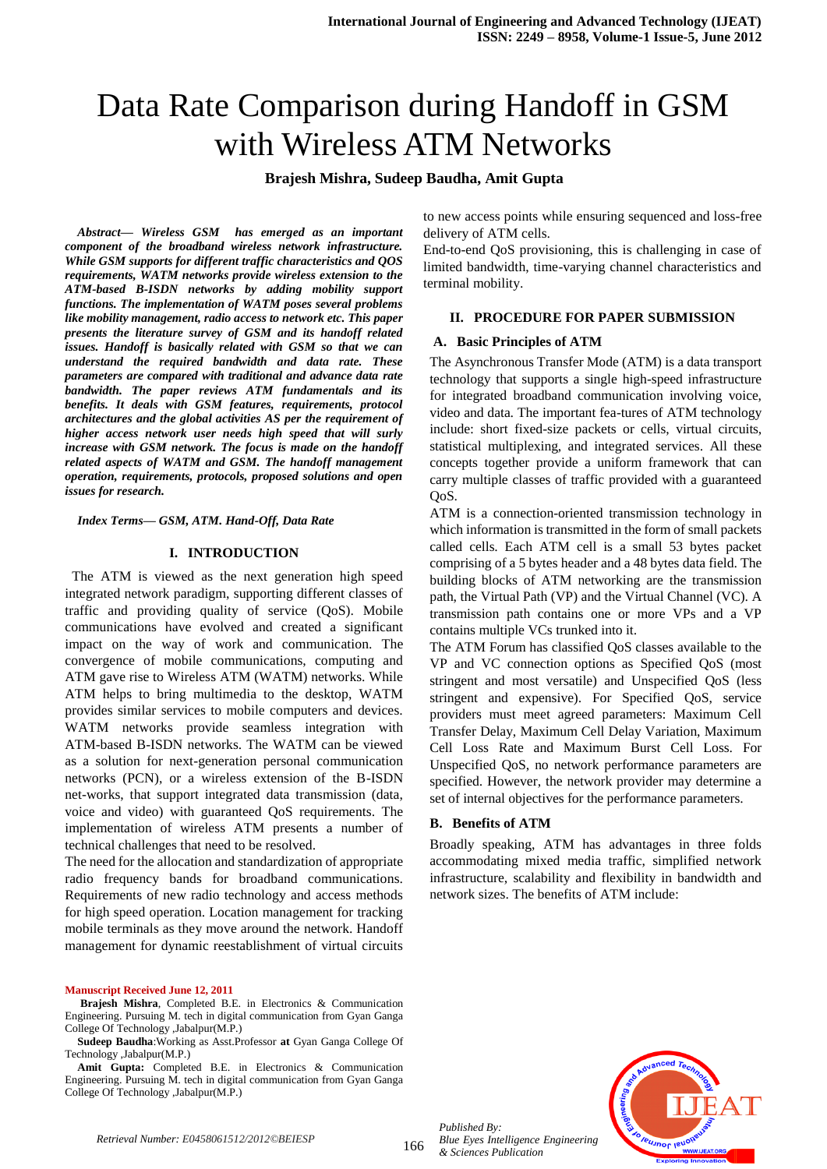# Data Rate Comparison during Handoff in GSM with Wireless ATM Networks

## **Brajesh Mishra, Sudeep Baudha, Amit Gupta**

*Abstract— Wireless GSM has emerged as an important component of the broadband wireless network infrastructure. While GSM supports for different traffic characteristics and QOS requirements, WATM networks provide wireless extension to the ATM-based B-ISDN networks by adding mobility support functions. The implementation of WATM poses several problems like mobility management, radio access to network etc. This paper presents the literature survey of GSM and its handoff related issues. Handoff is basically related with GSM so that we can understand the required bandwidth and data rate. These parameters are compared with traditional and advance data rate bandwidth. The paper reviews ATM fundamentals and its benefits. It deals with GSM features, requirements, protocol architectures and the global activities AS per the requirement of higher access network user needs high speed that will surly increase with GSM network. The focus is made on the handoff related aspects of WATM and GSM. The handoff management operation, requirements, protocols, proposed solutions and open issues for research.*

*Index Terms— GSM, ATM. Hand-Off, Data Rate* 

#### **I. INTRODUCTION**

 The ATM is viewed as the next generation high speed integrated network paradigm, supporting different classes of traffic and providing quality of service (QoS). Mobile communications have evolved and created a significant impact on the way of work and communication. The convergence of mobile communications, computing and ATM gave rise to Wireless ATM (WATM) networks. While ATM helps to bring multimedia to the desktop, WATM provides similar services to mobile computers and devices. WATM networks provide seamless integration with ATM-based B-ISDN networks. The WATM can be viewed as a solution for next-generation personal communication networks (PCN), or a wireless extension of the B-ISDN net-works, that support integrated data transmission (data, voice and video) with guaranteed QoS requirements. The implementation of wireless ATM presents a number of technical challenges that need to be resolved.

The need for the allocation and standardization of appropriate radio frequency bands for broadband communications. Requirements of new radio technology and access methods for high speed operation. Location management for tracking mobile terminals as they move around the network. Handoff management for dynamic reestablishment of virtual circuits

#### **Manuscript Received June 12, 2011**

**Brajesh Mishra**, Completed B.E. in Electronics & Communication Engineering. Pursuing M. tech in digital communication from Gyan Ganga College Of Technology ,Jabalpur(M.P.)

**Sudeep Baudha**:Working as Asst.Professor **at** Gyan Ganga College Of Technology ,Jabalpur(M.P.)

**Amit Gupta:** Completed B.E. in Electronics & Communication Engineering. Pursuing M. tech in digital communication from Gyan Ganga College Of Technology ,Jabalpur(M.P.)

to new access points while ensuring sequenced and loss-free delivery of ATM cells.

End-to-end QoS provisioning, this is challenging in case of limited bandwidth, time-varying channel characteristics and terminal mobility.

#### **II. PROCEDURE FOR PAPER SUBMISSION**

#### **A. Basic Principles of ATM**

The Asynchronous Transfer Mode (ATM) is a data transport technology that supports a single high-speed infrastructure for integrated broadband communication involving voice, video and data. The important fea-tures of ATM technology include: short fixed-size packets or cells, virtual circuits, statistical multiplexing, and integrated services. All these concepts together provide a uniform framework that can carry multiple classes of traffic provided with a guaranteed OoS.

ATM is a connection-oriented transmission technology in which information is transmitted in the form of small packets called cells. Each ATM cell is a small 53 bytes packet comprising of a 5 bytes header and a 48 bytes data field. The building blocks of ATM networking are the transmission path, the Virtual Path (VP) and the Virtual Channel (VC). A transmission path contains one or more VPs and a VP contains multiple VCs trunked into it.

The ATM Forum has classified QoS classes available to the VP and VC connection options as Specified QoS (most stringent and most versatile) and Unspecified QoS (less stringent and expensive). For Specified QoS, service providers must meet agreed parameters: Maximum Cell Transfer Delay, Maximum Cell Delay Variation, Maximum Cell Loss Rate and Maximum Burst Cell Loss. For Unspecified QoS, no network performance parameters are specified. However, the network provider may determine a set of internal objectives for the performance parameters.

#### **B. Benefits of ATM**

Broadly speaking, ATM has advantages in three folds accommodating mixed media traffic, simplified network infrastructure, scalability and flexibility in bandwidth and network sizes. The benefits of ATM include:



*Published By:*

*& Sciences Publication*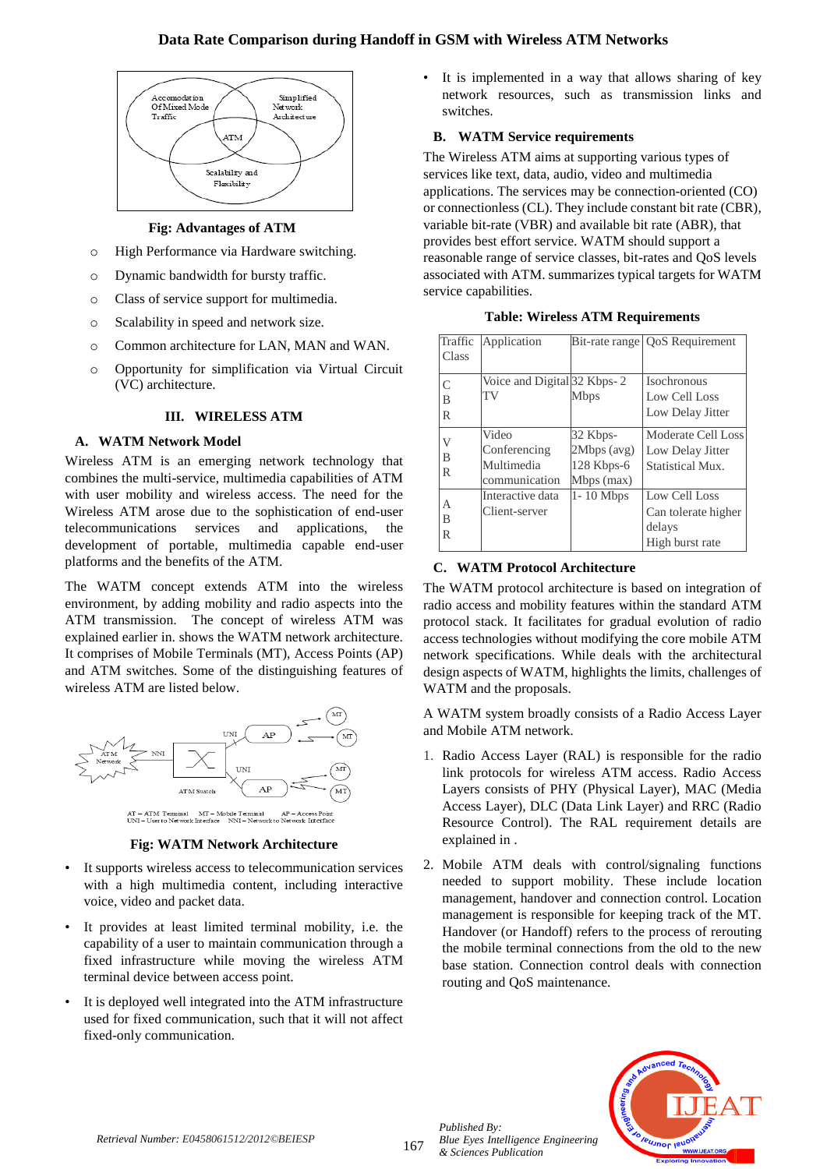## **Data Rate Comparison during Handoff in GSM with Wireless ATM Networks**



# **Fig: Advantages of ATM**

- o High Performance via Hardware switching.
- o Dynamic bandwidth for bursty traffic.
- o Class of service support for multimedia.
- o Scalability in speed and network size.
- o Common architecture for LAN, MAN and WAN.
- o Opportunity for simplification via Virtual Circuit (VC) architecture.

## **III. WIRELESS ATM**

## **A. WATM Network Model**

Wireless ATM is an emerging network technology that combines the multi-service, multimedia capabilities of ATM with user mobility and wireless access. The need for the Wireless ATM arose due to the sophistication of end-user telecommunications services and applications, the development of portable, multimedia capable end-user platforms and the benefits of the ATM.

The WATM concept extends ATM into the wireless environment, by adding mobility and radio aspects into the ATM transmission. The concept of wireless ATM was explained earlier in. shows the WATM network architecture. It comprises of Mobile Terminals (MT), Access Points (AP) and ATM switches. Some of the distinguishing features of wireless ATM are listed below.



-<br>AT – ATM Temmal – MT – Mobile Termmal – AP – Access Point<br>UNI – User to Network Interface – NNI – Network to Network Interface

## **Fig: WATM Network Architecture**

- It supports wireless access to telecommunication services with a high multimedia content, including interactive voice, video and packet data.
- It provides at least limited terminal mobility, i.e. the capability of a user to maintain communication through a fixed infrastructure while moving the wireless ATM terminal device between access point.
- It is deployed well integrated into the ATM infrastructure used for fixed communication, such that it will not affect fixed-only communication.

It is implemented in a way that allows sharing of key network resources, such as transmission links and switches.

## **B. WATM Service requirements**

The Wireless ATM aims at supporting various types of services like text, data, audio, video and multimedia applications. The services may be connection-oriented (CO) or connectionless (CL). They include constant bit rate (CBR), variable bit-rate (VBR) and available bit rate (ABR), that provides best effort service. WATM should support a reasonable range of service classes, bit-rates and QoS levels associated with ATM. summarizes typical targets for WATM service capabilities.

| Traffic<br>Class    | Application                                          |                                                       | Bit-rate range   QoS Requirement                                  |
|---------------------|------------------------------------------------------|-------------------------------------------------------|-------------------------------------------------------------------|
| $\subset$<br>B<br>R | Voice and Digital 32 Kbps-2<br>TV                    | <b>Mbps</b>                                           | Isochronous<br>Low Cell Loss<br>Low Delay Jitter                  |
| V<br>B<br>R         | Video<br>Conferencing<br>Multimedia<br>communication | 32 Kbps-<br>2Mbps (avg)<br>$128$ Kbps-6<br>Mbps (max) | Moderate Cell Loss<br>Low Delay Jitter<br>Statistical Mux.        |
| А<br>B<br>R         | Interactive data<br>Client-server                    | 1-10 Mbps                                             | Low Cell Loss<br>Can tolerate higher<br>delays<br>High burst rate |

## **Table: Wireless ATM Requirements**

## **C. WATM Protocol Architecture**

The WATM protocol architecture is based on integration of radio access and mobility features within the standard ATM protocol stack. It facilitates for gradual evolution of radio access technologies without modifying the core mobile ATM network specifications. While deals with the architectural design aspects of WATM, highlights the limits, challenges of WATM and the proposals.

A WATM system broadly consists of a Radio Access Layer and Mobile ATM network.

- 1. Radio Access Layer (RAL) is responsible for the radio link protocols for wireless ATM access. Radio Access Layers consists of PHY (Physical Layer), MAC (Media Access Layer), DLC (Data Link Layer) and RRC (Radio Resource Control). The RAL requirement details are explained in .
- 2. Mobile ATM deals with control/signaling functions needed to support mobility. These include location management, handover and connection control. Location management is responsible for keeping track of the MT. Handover (or Handoff) refers to the process of rerouting the mobile terminal connections from the old to the new base station. Connection control deals with connection routing and QoS maintenance.



*Published By:*

*& Sciences Publication*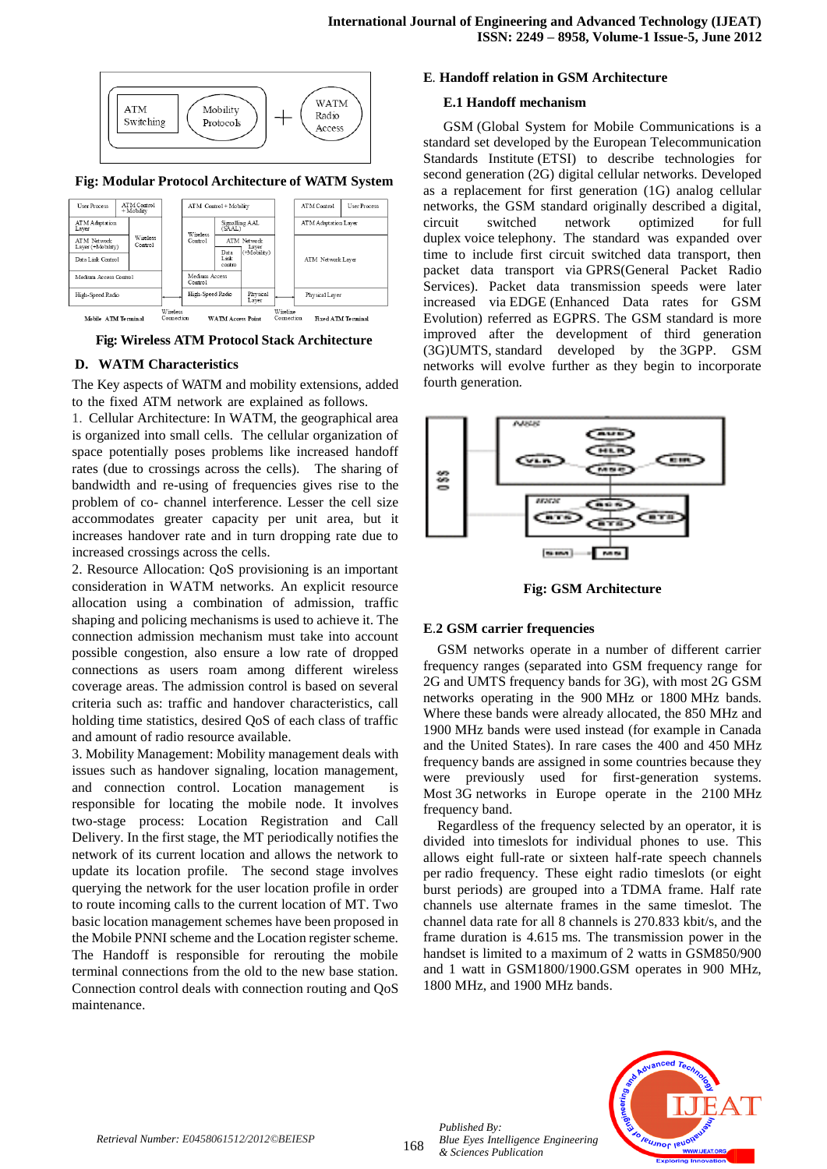

#### **Fig: Modular Protocol Architecture of WATM System**



**Fig: Wireless ATM Protocol Stack Architecture**

#### **D. WATM Characteristics**

The Key aspects of WATM and mobility extensions, added to the fixed ATM network are explained as follows.

1. Cellular Architecture: In WATM, the geographical area is organized into small cells. The cellular organization of space potentially poses problems like increased handoff rates (due to crossings across the cells). The sharing of bandwidth and re-using of frequencies gives rise to the problem of co- channel interference. Lesser the cell size accommodates greater capacity per unit area, but it increases handover rate and in turn dropping rate due to increased crossings across the cells.

2. Resource Allocation: QoS provisioning is an important consideration in WATM networks. An explicit resource allocation using a combination of admission, traffic shaping and policing mechanisms is used to achieve it. The connection admission mechanism must take into account possible congestion, also ensure a low rate of dropped connections as users roam among different wireless coverage areas. The admission control is based on several criteria such as: traffic and handover characteristics, call holding time statistics, desired QoS of each class of traffic and amount of radio resource available.

3. Mobility Management: Mobility management deals with issues such as handover signaling, location management, and connection control. Location management is responsible for locating the mobile node. It involves two-stage process: Location Registration and Call Delivery. In the first stage, the MT periodically notifies the network of its current location and allows the network to update its location profile. The second stage involves querying the network for the user location profile in order to route incoming calls to the current location of MT. Two basic location management schemes have been proposed in the Mobile PNNI scheme and the Location register scheme. The Handoff is responsible for rerouting the mobile terminal connections from the old to the new base station. Connection control deals with connection routing and QoS maintenance.

#### **E***.* **Handoff relation in GSM Architecture**

#### **E.1 Handoff mechanism**

GSM (Global System for Mobile Communications is a standard set developed by the European Telecommunication Standards Institute (ETSI) to describe technologies for second generation (2G) digital cellular networks. Developed as a replacement for first generation (1G) analog cellular networks, the GSM standard originally described a digital, circuit switched network optimized for full duplex voice telephony. The standard was expanded over time to include first circuit switched data transport, then packet data transport via GPRS(General Packet Radio Services). Packet data transmission speeds were later increased via EDGE (Enhanced Data rates for GSM Evolution) referred as EGPRS. The GSM standard is more improved after the development of third generation (3G)UMTS, standard developed by the 3GPP. GSM networks will evolve further as they begin to incorporate fourth generation*.*



**Fig: GSM Architecture**

#### **E**.**2 GSM carrier frequencies**

GSM networks operate in a number of different carrier frequency ranges (separated into GSM frequency range for 2G and UMTS frequency bands for 3G), with most 2G GSM networks operating in the 900 MHz or 1800 MHz bands. Where these bands were already allocated, the 850 MHz and 1900 MHz bands were used instead (for example in Canada and the United States). In rare cases the 400 and 450 MHz frequency bands are assigned in some countries because they were previously used for first-generation systems. Most 3G networks in Europe operate in the 2100 MHz frequency band.

Regardless of the frequency selected by an operator, it is divided into timeslots for individual phones to use. This allows eight full-rate or sixteen half-rate speech channels per radio frequency. These eight radio timeslots (or eight burst periods) are grouped into a TDMA frame. Half rate channels use alternate frames in the same timeslot. The channel data rate for all 8 channels is 270.833 kbit/s, and the frame duration is 4.615 ms. The transmission power in the handset is limited to a maximum of 2 watts in GSM850/900 and 1 watt in GSM1800/1900.GSM operates in 900 MHz, 1800 MHz, and 1900 MHz bands.



*Retrieval Number: E0458061512/2012©BEIESP*

*Published By:*

*& Sciences Publication*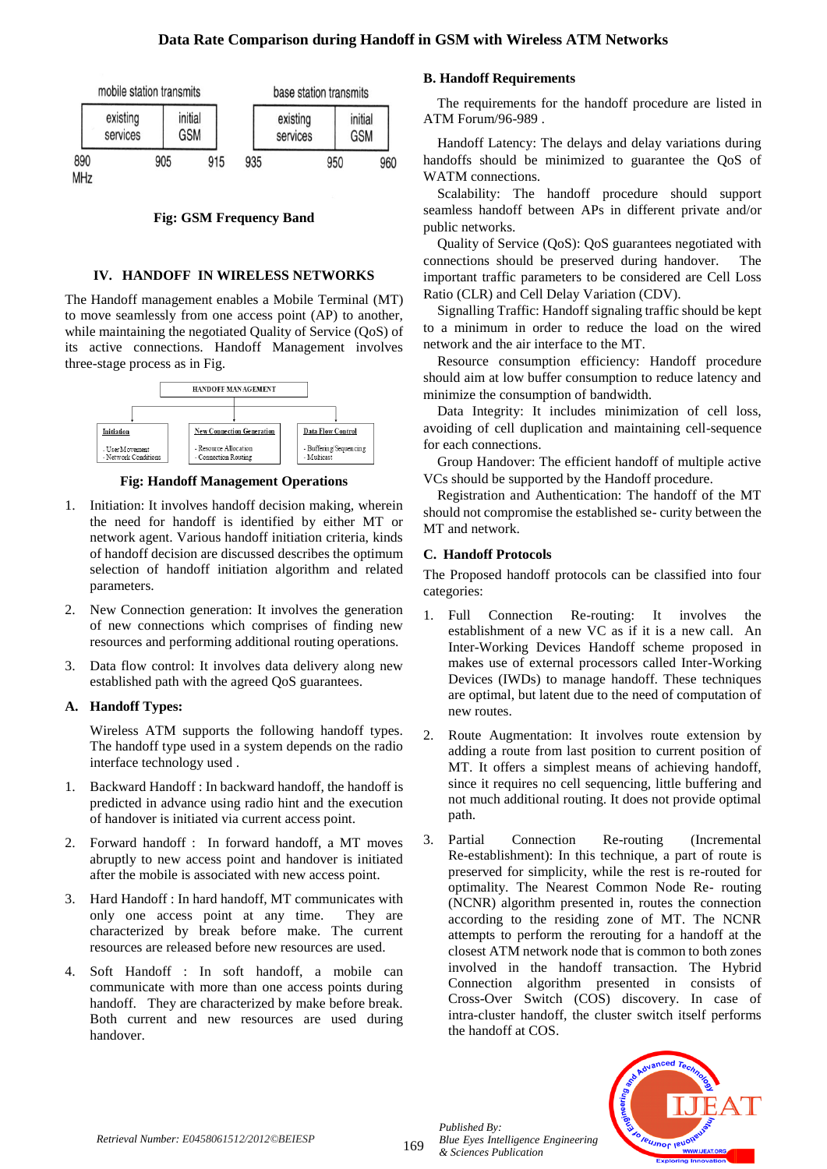

**Fig: GSM Frequency Band**

## **IV. HANDOFF IN WIRELESS NETWORKS**

The Handoff management enables a Mobile Terminal (MT) to move seamlessly from one access point (AP) to another, while maintaining the negotiated Quality of Service (QoS) of its active connections. Handoff Management involves three-stage process as in Fig.



**Fig: Handoff Management Operations**

- 1. Initiation: It involves handoff decision making, wherein the need for handoff is identified by either MT or network agent. Various handoff initiation criteria, kinds of handoff decision are discussed describes the optimum selection of handoff initiation algorithm and related parameters.
- 2. New Connection generation: It involves the generation of new connections which comprises of finding new resources and performing additional routing operations.
- Data flow control: It involves data delivery along new established path with the agreed QoS guarantees.

## **A. Handoff Types:**

Wireless ATM supports the following handoff types. The handoff type used in a system depends on the radio interface technology used .

- 1. Backward Handoff : In backward handoff, the handoff is predicted in advance using radio hint and the execution of handover is initiated via current access point.
- 2. Forward handoff : In forward handoff, a MT moves abruptly to new access point and handover is initiated after the mobile is associated with new access point.
- 3. Hard Handoff : In hard handoff, MT communicates with only one access point at any time. They are characterized by break before make. The current resources are released before new resources are used.
- 4. Soft Handoff : In soft handoff, a mobile can communicate with more than one access points during handoff. They are characterized by make before break. Both current and new resources are used during handover.

## **B. Handoff Requirements**

The requirements for the handoff procedure are listed in ATM Forum/96-989 .

Handoff Latency: The delays and delay variations during handoffs should be minimized to guarantee the QoS of WATM connections.

Scalability: The handoff procedure should support seamless handoff between APs in different private and/or public networks.

Quality of Service (QoS): QoS guarantees negotiated with connections should be preserved during handover. The important traffic parameters to be considered are Cell Loss Ratio (CLR) and Cell Delay Variation (CDV).

Signalling Traffic: Handoff signaling traffic should be kept to a minimum in order to reduce the load on the wired network and the air interface to the MT.

Resource consumption efficiency: Handoff procedure should aim at low buffer consumption to reduce latency and minimize the consumption of bandwidth.

Data Integrity: It includes minimization of cell loss, avoiding of cell duplication and maintaining cell-sequence for each connections.

Group Handover: The efficient handoff of multiple active VCs should be supported by the Handoff procedure.

Registration and Authentication: The handoff of the MT should not compromise the established se- curity between the MT and network.

## **C. Handoff Protocols**

The Proposed handoff protocols can be classified into four categories:

- 1. Full Connection Re-routing: It involves the establishment of a new VC as if it is a new call. An Inter-Working Devices Handoff scheme proposed in makes use of external processors called Inter-Working Devices (IWDs) to manage handoff. These techniques are optimal, but latent due to the need of computation of new routes.
- 2. Route Augmentation: It involves route extension by adding a route from last position to current position of MT. It offers a simplest means of achieving handoff, since it requires no cell sequencing, little buffering and not much additional routing. It does not provide optimal path.
- 3. Partial Connection Re-routing (Incremental Re-establishment): In this technique, a part of route is preserved for simplicity, while the rest is re-routed for optimality. The Nearest Common Node Re- routing (NCNR) algorithm presented in, routes the connection according to the residing zone of MT. The NCNR attempts to perform the rerouting for a handoff at the closest ATM network node that is common to both zones involved in the handoff transaction. The Hybrid Connection algorithm presented in consists of Cross-Over Switch (COS) discovery. In case of intra-cluster handoff, the cluster switch itself performs the handoff at COS.



*Published By:*

*& Sciences Publication*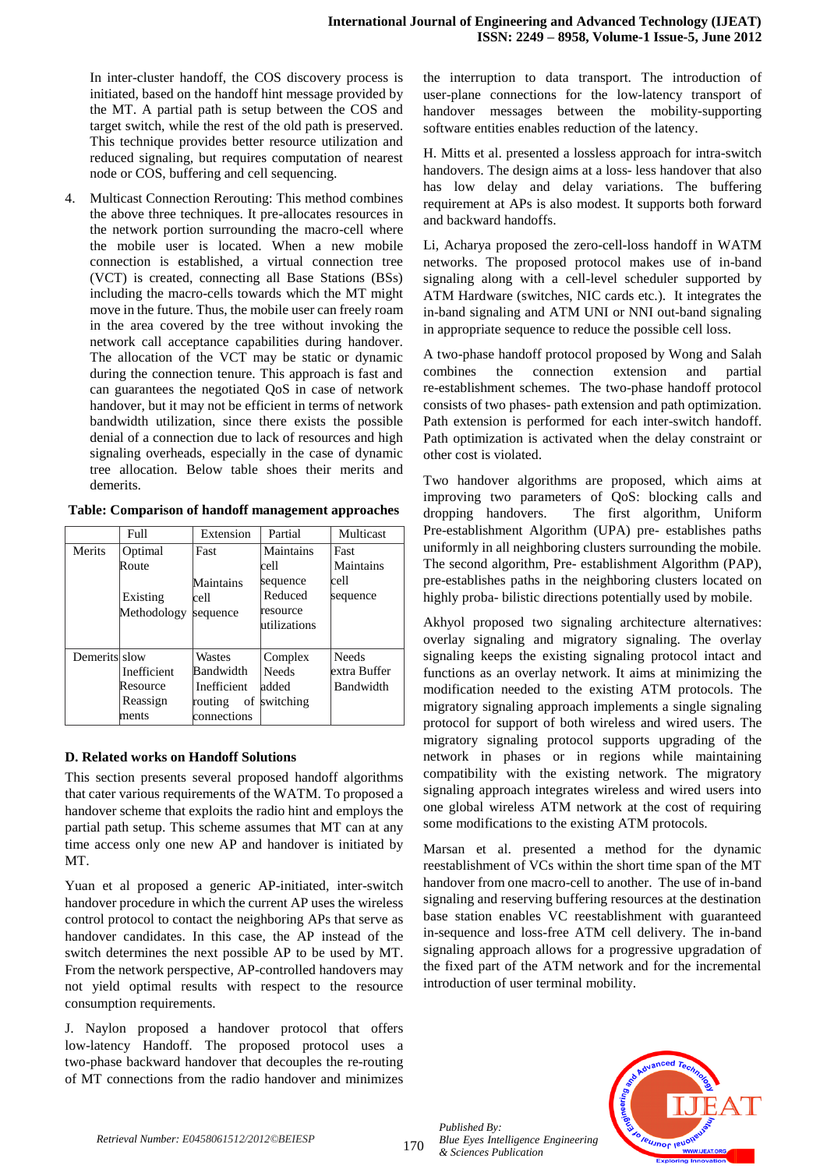In inter-cluster handoff, the COS discovery process is initiated, based on the handoff hint message provided by the MT. A partial path is setup between the COS and target switch, while the rest of the old path is preserved. This technique provides better resource utilization and reduced signaling, but requires computation of nearest node or COS, buffering and cell sequencing.

Multicast Connection Rerouting: This method combines the above three techniques. It pre-allocates resources in the network portion surrounding the macro-cell where the mobile user is located. When a new mobile connection is established, a virtual connection tree (VCT) is created, connecting all Base Stations (BSs) including the macro-cells towards which the MT might move in the future. Thus, the mobile user can freely roam in the area covered by the tree without invoking the network call acceptance capabilities during handover. The allocation of the VCT may be static or dynamic during the connection tenure. This approach is fast and can guarantees the negotiated QoS in case of network handover, but it may not be efficient in terms of network bandwidth utilization, since there exists the possible denial of a connection due to lack of resources and high signaling overheads, especially in the case of dynamic tree allocation. Below table shoes their merits and demerits.

|               | Full        | Extension     | Partial      | Multicast    |
|---------------|-------------|---------------|--------------|--------------|
| Merits        | Optimal     | Fast          | Maintains    | Fast         |
|               | Route       |               | cell         | Maintains    |
|               |             | Maintains     | sequence     | cell         |
|               | Existing    | cell          | Reduced      | sequence     |
|               | Methodology | sequence      | resource     |              |
|               |             |               | utilizations |              |
|               |             |               |              |              |
| Demerits slow |             | Wastes        | Complex      | <b>Needs</b> |
|               | Inefficient | Bandwidth     | <b>Needs</b> | extra Buffer |
|               | Resource    | Inefficient   | added        | Bandwidth    |
|               | Reassign    | routing<br>of | switching    |              |
|               | ments       | connections   |              |              |

**Table: Comparison of handoff management approaches**

## **D. Related works on Handoff Solutions**

This section presents several proposed handoff algorithms that cater various requirements of the WATM. To proposed a handover scheme that exploits the radio hint and employs the partial path setup. This scheme assumes that MT can at any time access only one new AP and handover is initiated by MT.

Yuan et al proposed a generic AP-initiated, inter-switch handover procedure in which the current AP uses the wireless control protocol to contact the neighboring APs that serve as handover candidates. In this case, the AP instead of the switch determines the next possible AP to be used by MT. From the network perspective, AP-controlled handovers may not yield optimal results with respect to the resource consumption requirements.

J. Naylon proposed a handover protocol that offers low-latency Handoff. The proposed protocol uses a two-phase backward handover that decouples the re-routing of MT connections from the radio handover and minimizes

the interruption to data transport. The introduction of user-plane connections for the low-latency transport of handover messages between the mobility-supporting software entities enables reduction of the latency.

H. Mitts et al. presented a lossless approach for intra-switch handovers. The design aims at a loss- less handover that also has low delay and delay variations. The buffering requirement at APs is also modest. It supports both forward and backward handoffs.

Li, Acharya proposed the zero-cell-loss handoff in WATM networks. The proposed protocol makes use of in-band signaling along with a cell-level scheduler supported by ATM Hardware (switches, NIC cards etc.). It integrates the in-band signaling and ATM UNI or NNI out-band signaling in appropriate sequence to reduce the possible cell loss.

A two-phase handoff protocol proposed by Wong and Salah combines the connection extension and partial re-establishment schemes. The two-phase handoff protocol consists of two phases- path extension and path optimization. Path extension is performed for each inter-switch handoff. Path optimization is activated when the delay constraint or other cost is violated.

Two handover algorithms are proposed, which aims at improving two parameters of QoS: blocking calls and dropping handovers. The first algorithm, Uniform Pre-establishment Algorithm (UPA) pre- establishes paths uniformly in all neighboring clusters surrounding the mobile. The second algorithm, Pre- establishment Algorithm (PAP), pre-establishes paths in the neighboring clusters located on highly proba- bilistic directions potentially used by mobile.

Bandwidth | modification needed to the existing ATM protocols. The Akhyol proposed two signaling architecture alternatives: overlay signaling and migratory signaling. The overlay signaling keeps the existing signaling protocol intact and functions as an overlay network. It aims at minimizing the migratory signaling approach implements a single signaling protocol for support of both wireless and wired users. The migratory signaling protocol supports upgrading of the network in phases or in regions while maintaining compatibility with the existing network. The migratory signaling approach integrates wireless and wired users into one global wireless ATM network at the cost of requiring some modifications to the existing ATM protocols.

> Marsan et al. presented a method for the dynamic reestablishment of VCs within the short time span of the MT handover from one macro-cell to another. The use of in-band signaling and reserving buffering resources at the destination base station enables VC reestablishment with guaranteed in-sequence and loss-free ATM cell delivery. The in-band signaling approach allows for a progressive upgradation of the fixed part of the ATM network and for the incremental introduction of user terminal mobility.



170

*Published By:*

*& Sciences Publication*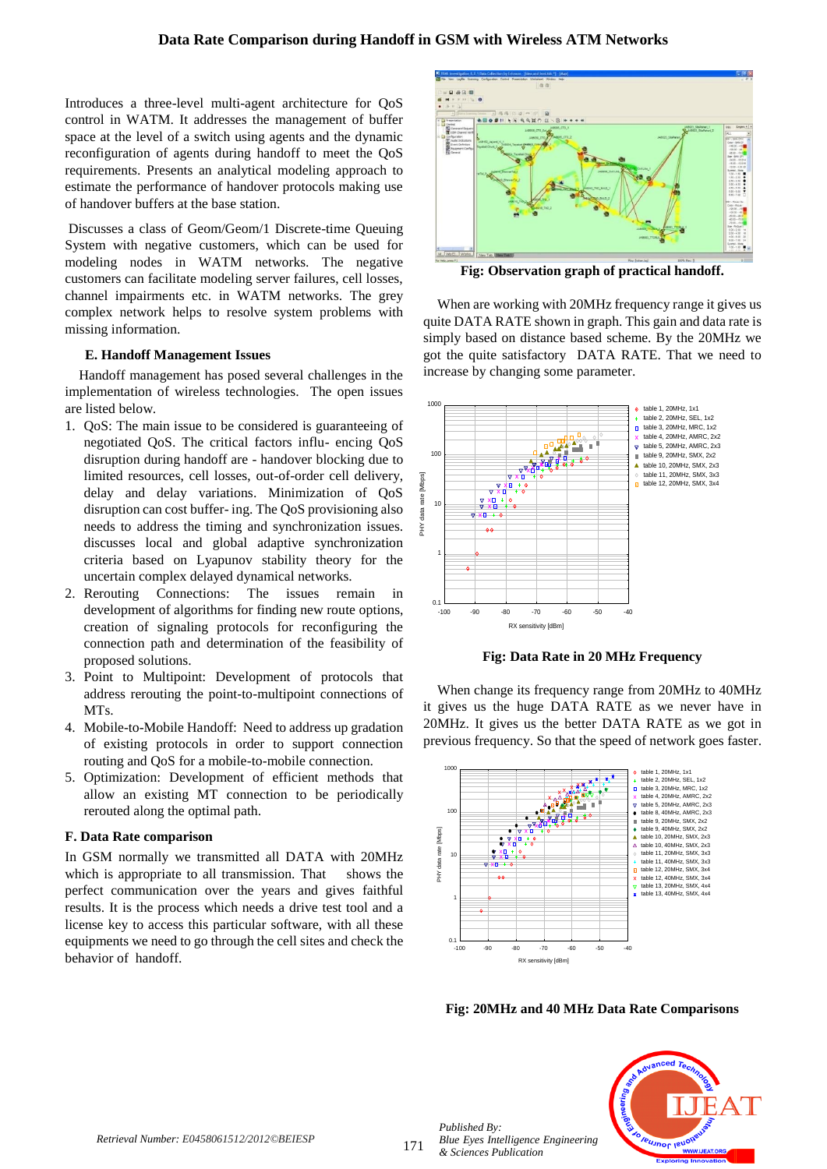Introduces a three-level multi-agent architecture for QoS control in WATM. It addresses the management of buffer space at the level of a switch using agents and the dynamic reconfiguration of agents during handoff to meet the QoS requirements. Presents an analytical modeling approach to estimate the performance of handover protocols making use of handover buffers at the base station.

Discusses a class of Geom/Geom/1 Discrete-time Queuing System with negative customers, which can be used for modeling nodes in WATM networks. The negative customers can facilitate modeling server failures, cell losses, channel impairments etc. in WATM networks. The grey complex network helps to resolve system problems with missing information.

#### **E. Handoff Management Issues**

Handoff management has posed several challenges in the implementation of wireless technologies. The open issues are listed below.

- 1. QoS: The main issue to be considered is guaranteeing of negotiated QoS. The critical factors influ- encing QoS disruption during handoff are - handover blocking due to limited resources, cell losses, out-of-order cell delivery, delay and delay variations. Minimization of QoS disruption can cost buffer- ing. The QoS provisioning also needs to address the timing and synchronization issues. discusses local and global adaptive synchronization criteria based on Lyapunov stability theory for the uncertain complex delayed dynamical networks.
- 2. Rerouting Connections: The issues remain in development of algorithms for finding new route options, creation of signaling protocols for reconfiguring the connection path and determination of the feasibility of proposed solutions.
- 3. Point to Multipoint: Development of protocols that address rerouting the point-to-multipoint connections of MTs.
- 4. Mobile-to-Mobile Handoff: Need to address up gradation of existing protocols in order to support connection routing and QoS for a mobile-to-mobile connection.
- 5. Optimization: Development of efficient methods that allow an existing MT connection to be periodically rerouted along the optimal path.

#### **F. Data Rate comparison**

In GSM normally we transmitted all DATA with 20MHz which is appropriate to all transmission. That shows the perfect communication over the years and gives faithful results. It is the process which needs a drive test tool and a license key to access this particular software, with all these equipments we need to go through the cell sites and check the behavior of handoff.



**Fig: Observation graph of practical handoff.**

 When are working with 20MHz frequency range it gives us quite DATA RATE shown in graph. This gain and data rate is simply based on distance based scheme. By the 20MHz we got the quite satisfactory DATA RATE. That we need to increase by changing some parameter.



**Fig: Data Rate in 20 MHz Frequency**

When change its frequency range from 20MHz to 40MHz it gives us the huge DATA RATE as we never have in 20MHz. It gives us the better DATA RATE as we got in previous frequency. So that the speed of network goes faster.



**Fig: 20MHz and 40 MHz Data Rate Comparisons**



171

*Published By: Blue Eyes Intelligence Engineering & Sciences Publication*